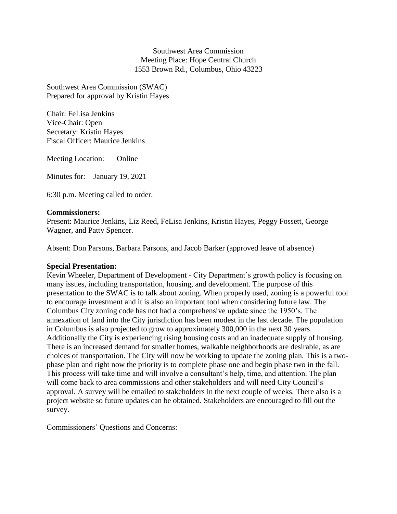Southwest Area Commission Meeting Place: Hope Central Church 1553 Brown Rd., Columbus, Ohio 43223

Southwest Area Commission (SWAC) Prepared for approval by Kristin Hayes

Chair: FeLisa Jenkins Vice-Chair: Open Secretary: Kristin Hayes Fiscal Officer: Maurice Jenkins

Meeting Location: Online

Minutes for: January 19, 2021

6:30 p.m. Meeting called to order.

### **Commissioners:**

Present: Maurice Jenkins, Liz Reed, FeLisa Jenkins, Kristin Hayes, Peggy Fossett, George Wagner, and Patty Spencer.

Absent: Don Parsons, Barbara Parsons, and Jacob Barker (approved leave of absence)

#### **Special Presentation:**

Kevin Wheeler, Department of Development - City Department's growth policy is focusing on many issues, including transportation, housing, and development. The purpose of this presentation to the SWAC is to talk about zoning. When properly used, zoning is a powerful tool to encourage investment and it is also an important tool when considering future law. The Columbus City zoning code has not had a comprehensive update since the 1950's. The annexation of land into the City jurisdiction has been modest in the last decade. The population in Columbus is also projected to grow to approximately 300,000 in the next 30 years. Additionally the City is experiencing rising housing costs and an inadequate supply of housing. There is an increased demand for smaller homes, walkable neighborhoods are desirable, as are choices of transportation. The City will now be working to update the zoning plan. This is a twophase plan and right now the priority is to complete phase one and begin phase two in the fall. This process will take time and will involve a consultant's help, time, and attention. The plan will come back to area commissions and other stakeholders and will need City Council's approval. A survey will be emailed to stakeholders in the next couple of weeks. There also is a project website so future updates can be obtained. Stakeholders are encouraged to fill out the survey.

Commissioners' Questions and Concerns: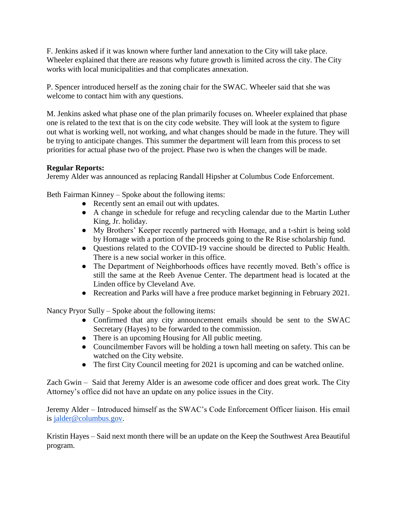F. Jenkins asked if it was known where further land annexation to the City will take place. Wheeler explained that there are reasons why future growth is limited across the city. The City works with local municipalities and that complicates annexation.

P. Spencer introduced herself as the zoning chair for the SWAC. Wheeler said that she was welcome to contact him with any questions.

M. Jenkins asked what phase one of the plan primarily focuses on. Wheeler explained that phase one is related to the text that is on the city code website. They will look at the system to figure out what is working well, not working, and what changes should be made in the future. They will be trying to anticipate changes. This summer the department will learn from this process to set priorities for actual phase two of the project. Phase two is when the changes will be made.

# **Regular Reports:**

Jeremy Alder was announced as replacing Randall Hipsher at Columbus Code Enforcement.

Beth Fairman Kinney – Spoke about the following items:

- Recently sent an email out with updates.
- A change in schedule for refuge and recycling calendar due to the Martin Luther King, Jr. holiday.
- My Brothers' Keeper recently partnered with Homage, and a t-shirt is being sold by Homage with a portion of the proceeds going to the Re Rise scholarship fund.
- Questions related to the COVID-19 vaccine should be directed to Public Health. There is a new social worker in this office.
- The Department of Neighborhoods offices have recently moved. Beth's office is still the same at the Reeb Avenue Center. The department head is located at the Linden office by Cleveland Ave.
- Recreation and Parks will have a free produce market beginning in February 2021.

Nancy Pryor Sully – Spoke about the following items:

- Confirmed that any city announcement emails should be sent to the SWAC Secretary (Hayes) to be forwarded to the commission.
- There is an upcoming Housing for All public meeting.
- Councilmember Favors will be holding a town hall meeting on safety. This can be watched on the City website.
- The first City Council meeting for 2021 is upcoming and can be watched online.

Zach Gwin – Said that Jeremy Alder is an awesome code officer and does great work. The City Attorney's office did not have an update on any police issues in the City.

Jeremy Alder – Introduced himself as the SWAC's Code Enforcement Officer liaison. His email is [jalder@columbus.gov.](about:blank)

Kristin Hayes – Said next month there will be an update on the Keep the Southwest Area Beautiful program.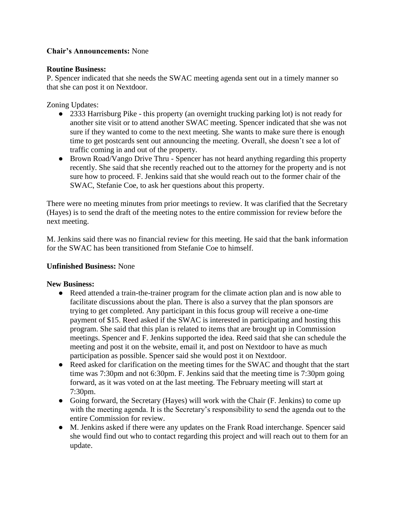## **Chair's Announcements:** None

## **Routine Business:**

P. Spencer indicated that she needs the SWAC meeting agenda sent out in a timely manner so that she can post it on Nextdoor.

Zoning Updates:

- 2333 Harrisburg Pike this property (an overnight trucking parking lot) is not ready for another site visit or to attend another SWAC meeting. Spencer indicated that she was not sure if they wanted to come to the next meeting. She wants to make sure there is enough time to get postcards sent out announcing the meeting. Overall, she doesn't see a lot of traffic coming in and out of the property.
- Brown Road/Vango Drive Thru Spencer has not heard anything regarding this property recently. She said that she recently reached out to the attorney for the property and is not sure how to proceed. F. Jenkins said that she would reach out to the former chair of the SWAC, Stefanie Coe, to ask her questions about this property.

There were no meeting minutes from prior meetings to review. It was clarified that the Secretary (Hayes) is to send the draft of the meeting notes to the entire commission for review before the next meeting.

M. Jenkins said there was no financial review for this meeting. He said that the bank information for the SWAC has been transitioned from Stefanie Coe to himself.

## **Unfinished Business:** None

## **New Business:**

- Reed attended a train-the-trainer program for the climate action plan and is now able to facilitate discussions about the plan. There is also a survey that the plan sponsors are trying to get completed. Any participant in this focus group will receive a one-time payment of \$15. Reed asked if the SWAC is interested in participating and hosting this program. She said that this plan is related to items that are brought up in Commission meetings. Spencer and F. Jenkins supported the idea. Reed said that she can schedule the meeting and post it on the website, email it, and post on Nextdoor to have as much participation as possible. Spencer said she would post it on Nextdoor.
- Reed asked for clarification on the meeting times for the SWAC and thought that the start time was 7:30pm and not 6:30pm. F. Jenkins said that the meeting time is 7:30pm going forward, as it was voted on at the last meeting. The February meeting will start at 7:30pm.
- Going forward, the Secretary (Hayes) will work with the Chair (F. Jenkins) to come up with the meeting agenda. It is the Secretary's responsibility to send the agenda out to the entire Commission for review.
- M. Jenkins asked if there were any updates on the Frank Road interchange. Spencer said she would find out who to contact regarding this project and will reach out to them for an update.